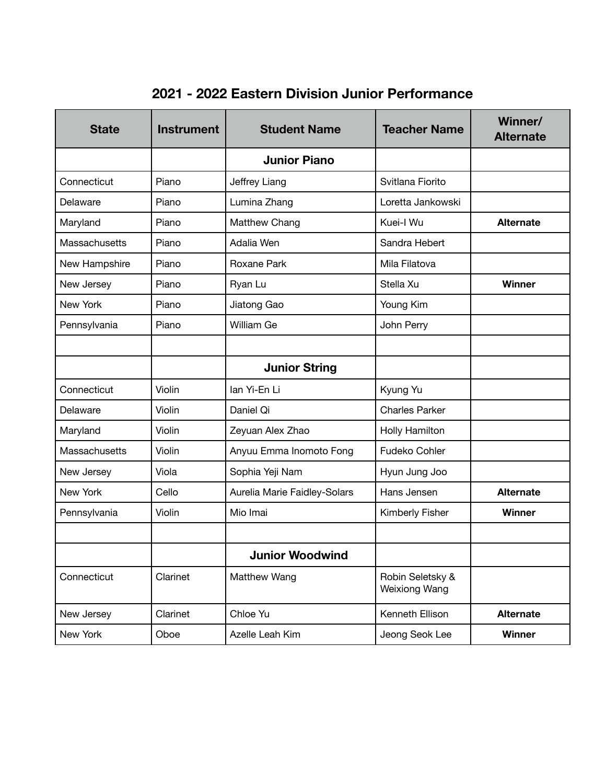| <b>State</b>  | <b>Instrument</b> | <b>Student Name</b>          | <b>Teacher Name</b>                      | Winner/<br><b>Alternate</b> |
|---------------|-------------------|------------------------------|------------------------------------------|-----------------------------|
|               |                   | <b>Junior Piano</b>          |                                          |                             |
| Connecticut   | Piano             | Jeffrey Liang                | Svitlana Fiorito                         |                             |
| Delaware      | Piano             | Lumina Zhang                 | Loretta Jankowski                        |                             |
| Maryland      | Piano             | Matthew Chang                | Kuei-I Wu                                | <b>Alternate</b>            |
| Massachusetts | Piano             | Adalia Wen                   | Sandra Hebert                            |                             |
| New Hampshire | Piano             | Roxane Park                  | Mila Filatova                            |                             |
| New Jersey    | Piano             | Ryan Lu                      | Stella Xu                                | Winner                      |
| New York      | Piano             | Jiatong Gao                  | Young Kim                                |                             |
| Pennsylvania  | Piano             | William Ge                   | John Perry                               |                             |
|               |                   |                              |                                          |                             |
|               |                   | <b>Junior String</b>         |                                          |                             |
| Connecticut   | Violin            | lan Yi-En Li                 | Kyung Yu                                 |                             |
| Delaware      | Violin            | Daniel Qi                    | <b>Charles Parker</b>                    |                             |
| Maryland      | Violin            | Zeyuan Alex Zhao             | Holly Hamilton                           |                             |
| Massachusetts | Violin            | Anyuu Emma Inomoto Fong      | Fudeko Cohler                            |                             |
| New Jersey    | Viola             | Sophia Yeji Nam              | Hyun Jung Joo                            |                             |
| New York      | Cello             | Aurelia Marie Faidley-Solars | Hans Jensen                              | <b>Alternate</b>            |
| Pennsylvania  | Violin            | Mio Imai                     | Kimberly Fisher                          | Winner                      |
|               |                   |                              |                                          |                             |
|               |                   | <b>Junior Woodwind</b>       |                                          |                             |
| Connecticut   | Clarinet          | Matthew Wang                 | Robin Seletsky &<br><b>Weixiong Wang</b> |                             |
| New Jersey    | Clarinet          | Chloe Yu                     | Kenneth Ellison                          | <b>Alternate</b>            |
| New York      | Oboe              | Azelle Leah Kim              | Jeong Seok Lee                           | Winner                      |

## **2021 - 2022 Eastern Division Junior Performance**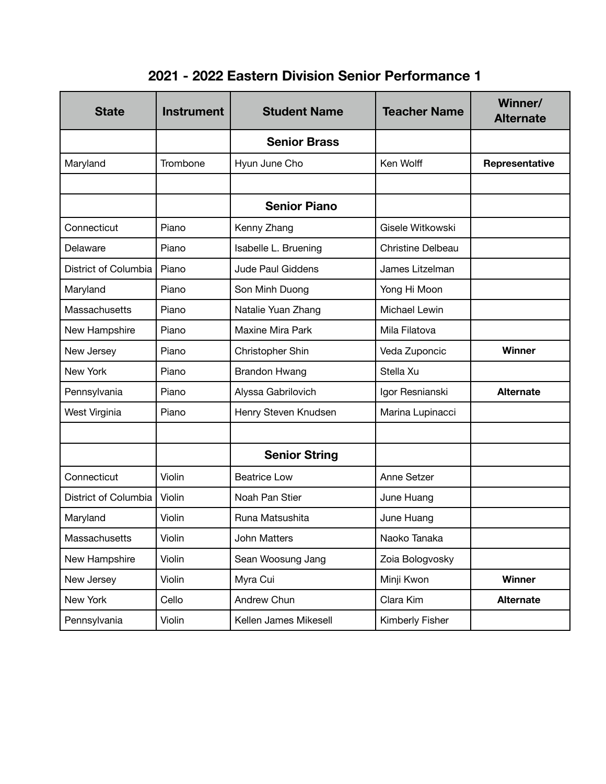## **2021 - 2022 Eastern Division Senior Performance 1**

| <b>State</b>         | <b>Instrument</b> | <b>Student Name</b>   | <b>Teacher Name</b>      | Winner/<br><b>Alternate</b> |
|----------------------|-------------------|-----------------------|--------------------------|-----------------------------|
|                      |                   | <b>Senior Brass</b>   |                          |                             |
| Maryland             | Trombone          | Hyun June Cho         | Ken Wolff                | Representative              |
|                      |                   |                       |                          |                             |
|                      |                   | <b>Senior Piano</b>   |                          |                             |
| Connecticut          | Piano             | Kenny Zhang           | Gisele Witkowski         |                             |
| Delaware             | Piano             | Isabelle L. Bruening  | <b>Christine Delbeau</b> |                             |
| District of Columbia | Piano             | Jude Paul Giddens     | James Litzelman          |                             |
| Maryland             | Piano             | Son Minh Duong        | Yong Hi Moon             |                             |
| Massachusetts        | Piano             | Natalie Yuan Zhang    | Michael Lewin            |                             |
| New Hampshire        | Piano             | Maxine Mira Park      | Mila Filatova            |                             |
| New Jersey           | Piano             | Christopher Shin      | Veda Zuponcic            | <b>Winner</b>               |
| New York             | Piano             | <b>Brandon Hwang</b>  | Stella Xu                |                             |
| Pennsylvania         | Piano             | Alyssa Gabrilovich    | Igor Resnianski          | <b>Alternate</b>            |
| West Virginia        | Piano             | Henry Steven Knudsen  | Marina Lupinacci         |                             |
|                      |                   |                       |                          |                             |
|                      |                   | <b>Senior String</b>  |                          |                             |
| Connecticut          | Violin            | <b>Beatrice Low</b>   | Anne Setzer              |                             |
| District of Columbia | Violin            | Noah Pan Stier        | June Huang               |                             |
| Maryland             | Violin            | Runa Matsushita       | June Huang               |                             |
| Massachusetts        | Violin            | John Matters          | Naoko Tanaka             |                             |
| New Hampshire        | Violin            | Sean Woosung Jang     | Zoia Bologvosky          |                             |
| New Jersey           | Violin            | Myra Cui              | Minji Kwon               | <b>Winner</b>               |
| New York             | Cello             | Andrew Chun           | Clara Kim                | <b>Alternate</b>            |
| Pennsylvania         | Violin            | Kellen James Mikesell | Kimberly Fisher          |                             |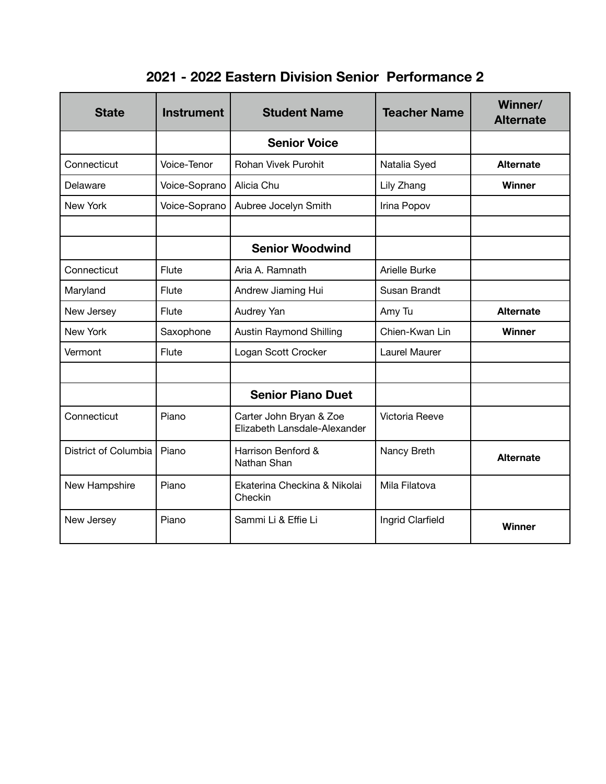## **2021 - 2022 Eastern Division Senior Performance 2**

| <b>State</b>         | <b>Instrument</b> | <b>Student Name</b>                                     | <b>Teacher Name</b> | Winner/<br><b>Alternate</b> |
|----------------------|-------------------|---------------------------------------------------------|---------------------|-----------------------------|
|                      |                   | <b>Senior Voice</b>                                     |                     |                             |
| Connecticut          | Voice-Tenor       | <b>Rohan Vivek Purohit</b>                              | Natalia Syed        | <b>Alternate</b>            |
| Delaware             | Voice-Soprano     | Alicia Chu                                              | Lily Zhang          | Winner                      |
| New York             | Voice-Soprano     | Aubree Jocelyn Smith                                    | Irina Popov         |                             |
|                      |                   |                                                         |                     |                             |
|                      |                   | <b>Senior Woodwind</b>                                  |                     |                             |
| Connecticut          | Flute             | Aria A. Ramnath                                         | Arielle Burke       |                             |
| Maryland             | Flute             | Andrew Jiaming Hui                                      | Susan Brandt        |                             |
| New Jersey           | Flute             | Audrey Yan                                              | Amy Tu              | <b>Alternate</b>            |
| New York             | Saxophone         | <b>Austin Raymond Shilling</b>                          | Chien-Kwan Lin      | Winner                      |
| Vermont              | Flute             | Logan Scott Crocker                                     | Laurel Maurer       |                             |
|                      |                   |                                                         |                     |                             |
|                      |                   | <b>Senior Piano Duet</b>                                |                     |                             |
| Connecticut          | Piano             | Carter John Bryan & Zoe<br>Elizabeth Lansdale-Alexander | Victoria Reeve      |                             |
| District of Columbia | Piano             | Harrison Benford &<br>Nathan Shan                       | Nancy Breth         | <b>Alternate</b>            |
| New Hampshire        | Piano             | Ekaterina Checkina & Nikolai<br>Checkin                 | Mila Filatova       |                             |
| New Jersey           | Piano             | Sammi Li & Effie Li                                     | Ingrid Clarfield    | Winner                      |